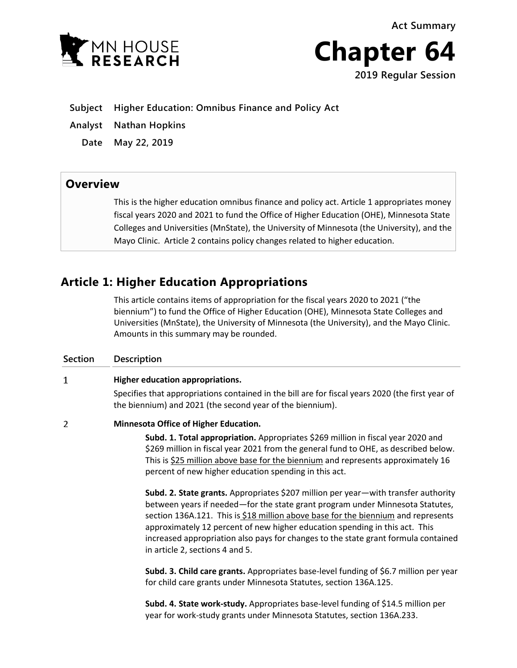**Act Summary**





**Subject Higher Education: Omnibus Finance and Policy Act**

- **Analyst Nathan Hopkins**
	- **Date May 22, 2019**

## **Overview**

This is the higher education omnibus finance and policy act. Article 1 appropriates money fiscal years 2020 and 2021 to fund the Office of Higher Education (OHE), Minnesota State Colleges and Universities (MnState), the University of Minnesota (the University), and the Mayo Clinic. Article 2 contains policy changes related to higher education.

# **Article 1: Higher Education Appropriations**

This article contains items of appropriation for the fiscal years 2020 to 2021 ("the biennium") to fund the Office of Higher Education (OHE), Minnesota State Colleges and Universities (MnState), the University of Minnesota (the University), and the Mayo Clinic. Amounts in this summary may be rounded.

## **Section Description**  $\mathbf{1}$ **Higher education appropriations.** Specifies that appropriations contained in the bill are for fiscal years 2020 (the first year of the biennium) and 2021 (the second year of the biennium).  $\overline{2}$ **Minnesota Office of Higher Education. Subd. 1. Total appropriation.** Appropriates \$269 million in fiscal year 2020 and \$269 million in fiscal year 2021 from the general fund to OHE, as described below. This is \$25 million above base for the biennium and represents approximately 16 percent of new higher education spending in this act. **Subd. 2. State grants.** Appropriates \$207 million per year—with transfer authority between years if needed—for the state grant program under Minnesota Statutes, section 136A.121. This is \$18 million above base for the biennium and represents approximately 12 percent of new higher education spending in this act. This increased appropriation also pays for changes to the state grant formula contained in article 2, sections 4 and 5. **Subd. 3. Child care grants.** Appropriates base-level funding of \$6.7 million per year for child care grants under Minnesota Statutes, section 136A.125.

**Subd. 4. State work-study.** Appropriates base-level funding of \$14.5 million per year for work-study grants under Minnesota Statutes, section 136A.233.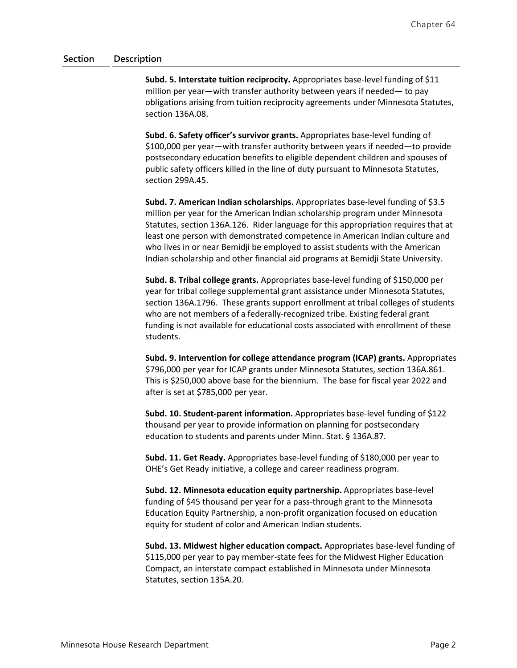**Subd. 5. Interstate tuition reciprocity.** Appropriates base-level funding of \$11 million per year—with transfer authority between years if needed— to pay obligations arising from tuition reciprocity agreements under Minnesota Statutes, section 136A.08.

**Subd. 6. Safety officer's survivor grants.** Appropriates base-level funding of \$100,000 per year—with transfer authority between years if needed—to provide postsecondary education benefits to eligible dependent children and spouses of public safety officers killed in the line of duty pursuant to Minnesota Statutes, section 299A.45.

**Subd. 7. American Indian scholarships.** Appropriates base-level funding of \$3.5 million per year for the American Indian scholarship program under Minnesota Statutes, section 136A.126. Rider language for this appropriation requires that at least one person with demonstrated competence in American Indian culture and who lives in or near Bemidji be employed to assist students with the American Indian scholarship and other financial aid programs at Bemidji State University.

**Subd. 8. Tribal college grants.** Appropriates base-level funding of \$150,000 per year for tribal college supplemental grant assistance under Minnesota Statutes, section 136A.1796. These grants support enrollment at tribal colleges of students who are not members of a federally-recognized tribe. Existing federal grant funding is not available for educational costs associated with enrollment of these students.

**Subd. 9. Intervention for college attendance program (ICAP) grants.** Appropriates \$796,000 per year for ICAP grants under Minnesota Statutes, section 136A.861. This is \$250,000 above base for the biennium. The base for fiscal year 2022 and after is set at \$785,000 per year.

**Subd. 10. Student-parent information.** Appropriates base-level funding of \$122 thousand per year to provide information on planning for postsecondary education to students and parents under Minn. Stat. § 136A.87.

**Subd. 11. Get Ready.** Appropriates base-level funding of \$180,000 per year to OHE's Get Ready initiative, a college and career readiness program.

**Subd. 12. Minnesota education equity partnership.** Appropriates base-level funding of \$45 thousand per year for a pass-through grant to the Minnesota Education Equity Partnership, a non-profit organization focused on education equity for student of color and American Indian students.

**Subd. 13. Midwest higher education compact.** Appropriates base-level funding of \$115,000 per year to pay member-state fees for the Midwest Higher Education Compact, an interstate compact established in Minnesota under Minnesota Statutes, section 135A.20.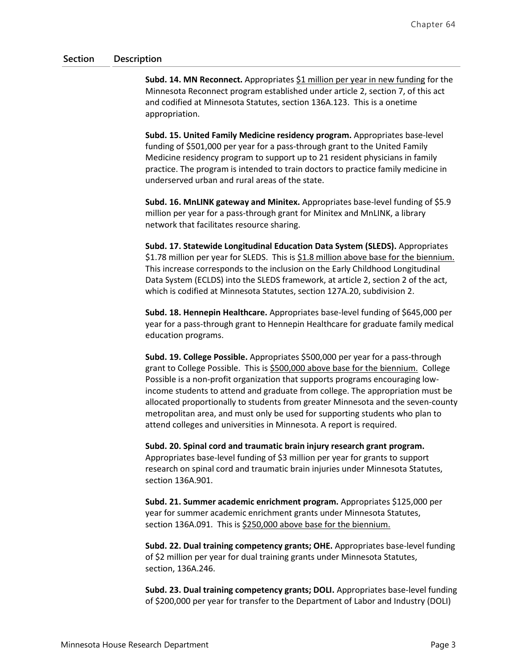**Subd. 14. MN Reconnect.** Appropriates \$1 million per year in new funding for the Minnesota Reconnect program established under article 2, section 7, of this act and codified at Minnesota Statutes, section 136A.123. This is a onetime appropriation.

**Subd. 15. United Family Medicine residency program.** Appropriates base-level funding of \$501,000 per year for a pass-through grant to the United Family Medicine residency program to support up to 21 resident physicians in family practice. The program is intended to train doctors to practice family medicine in underserved urban and rural areas of the state.

**Subd. 16. MnLINK gateway and Minitex.** Appropriates base-level funding of \$5.9 million per year for a pass-through grant for Minitex and MnLINK, a library network that facilitates resource sharing.

**Subd. 17. Statewide Longitudinal Education Data System (SLEDS).** Appropriates \$1.78 million per year for SLEDS. This is \$1.8 million above base for the biennium. This increase corresponds to the inclusion on the Early Childhood Longitudinal Data System (ECLDS) into the SLEDS framework, at article 2, section 2 of the act, which is codified at Minnesota Statutes, section 127A.20, subdivision 2.

**Subd. 18. Hennepin Healthcare.** Appropriates base-level funding of \$645,000 per year for a pass-through grant to Hennepin Healthcare for graduate family medical education programs.

**Subd. 19. College Possible.** Appropriates \$500,000 per year for a pass-through grant to College Possible. This is \$500,000 above base for the biennium. College Possible is a non-profit organization that supports programs encouraging lowincome students to attend and graduate from college. The appropriation must be allocated proportionally to students from greater Minnesota and the seven-county metropolitan area, and must only be used for supporting students who plan to attend colleges and universities in Minnesota. A report is required.

**Subd. 20. Spinal cord and traumatic brain injury research grant program.** Appropriates base-level funding of \$3 million per year for grants to support research on spinal cord and traumatic brain injuries under Minnesota Statutes, section 136A.901.

**Subd. 21. Summer academic enrichment program.** Appropriates \$125,000 per year for summer academic enrichment grants under Minnesota Statutes, section 136A.091. This is \$250,000 above base for the biennium.

**Subd. 22. Dual training competency grants; OHE.** Appropriates base-level funding of \$2 million per year for dual training grants under Minnesota Statutes, section, 136A.246.

**Subd. 23. Dual training competency grants; DOLI.** Appropriates base-level funding of \$200,000 per year for transfer to the Department of Labor and Industry (DOLI)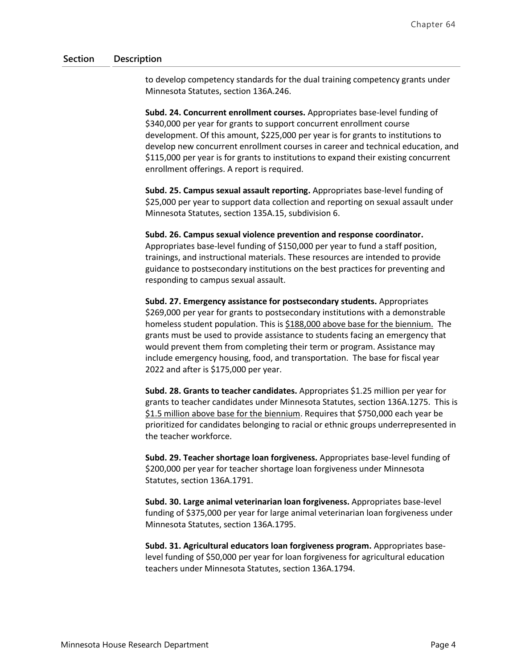to develop competency standards for the dual training competency grants under Minnesota Statutes, section 136A.246.

**Subd. 24. Concurrent enrollment courses.** Appropriates base-level funding of \$340,000 per year for grants to support concurrent enrollment course development. Of this amount, \$225,000 per year is for grants to institutions to develop new concurrent enrollment courses in career and technical education, and \$115,000 per year is for grants to institutions to expand their existing concurrent enrollment offerings. A report is required.

**Subd. 25. Campus sexual assault reporting.** Appropriates base-level funding of \$25,000 per year to support data collection and reporting on sexual assault under Minnesota Statutes, section 135A.15, subdivision 6.

### **Subd. 26. Campus sexual violence prevention and response coordinator.**

Appropriates base-level funding of \$150,000 per year to fund a staff position, trainings, and instructional materials. These resources are intended to provide guidance to postsecondary institutions on the best practices for preventing and responding to campus sexual assault.

**Subd. 27. Emergency assistance for postsecondary students.** Appropriates \$269,000 per year for grants to postsecondary institutions with a demonstrable homeless student population. This is \$188,000 above base for the biennium. The grants must be used to provide assistance to students facing an emergency that would prevent them from completing their term or program. Assistance may include emergency housing, food, and transportation. The base for fiscal year 2022 and after is \$175,000 per year.

**Subd. 28. Grants to teacher candidates.** Appropriates \$1.25 million per year for grants to teacher candidates under Minnesota Statutes, section 136A.1275. This is \$1.5 million above base for the biennium. Requires that \$750,000 each year be prioritized for candidates belonging to racial or ethnic groups underrepresented in the teacher workforce.

**Subd. 29. Teacher shortage loan forgiveness.** Appropriates base-level funding of \$200,000 per year for teacher shortage loan forgiveness under Minnesota Statutes, section 136A.1791.

**Subd. 30. Large animal veterinarian loan forgiveness.** Appropriates base-level funding of \$375,000 per year for large animal veterinarian loan forgiveness under Minnesota Statutes, section 136A.1795.

**Subd. 31. Agricultural educators loan forgiveness program.** Appropriates baselevel funding of \$50,000 per year for loan forgiveness for agricultural education teachers under Minnesota Statutes, section 136A.1794.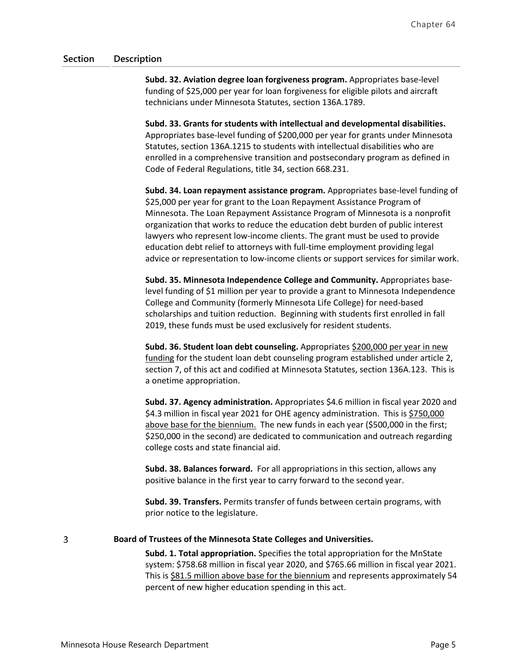**Subd. 32. Aviation degree loan forgiveness program.** Appropriates base-level funding of \$25,000 per year for loan forgiveness for eligible pilots and aircraft technicians under Minnesota Statutes, section 136A.1789.

**Subd. 33. Grants for students with intellectual and developmental disabilities.** Appropriates base-level funding of \$200,000 per year for grants under Minnesota Statutes, section 136A.1215 to students with intellectual disabilities who are enrolled in a comprehensive transition and postsecondary program as defined in Code of Federal Regulations, title 34, section 668.231.

**Subd. 34. Loan repayment assistance program.** Appropriates base-level funding of \$25,000 per year for grant to the Loan Repayment Assistance Program of Minnesota. The Loan Repayment Assistance Program of Minnesota is a nonprofit organization that works to reduce the education debt burden of public interest lawyers who represent low-income clients. The grant must be used to provide education debt relief to attorneys with full-time employment providing legal advice or representation to low-income clients or support services for similar work.

**Subd. 35. Minnesota Independence College and Community.** Appropriates baselevel funding of \$1 million per year to provide a grant to Minnesota Independence College and Community (formerly Minnesota Life College) for need-based scholarships and tuition reduction. Beginning with students first enrolled in fall 2019, these funds must be used exclusively for resident students.

**Subd. 36. Student loan debt counseling.** Appropriates \$200,000 per year in new funding for the student loan debt counseling program established under article 2, section 7, of this act and codified at Minnesota Statutes, section 136A.123. This is a onetime appropriation.

**Subd. 37. Agency administration.** Appropriates \$4.6 million in fiscal year 2020 and \$4.3 million in fiscal year 2021 for OHE agency administration. This is \$750,000 above base for the biennium. The new funds in each year (\$500,000 in the first; \$250,000 in the second) are dedicated to communication and outreach regarding college costs and state financial aid.

**Subd. 38. Balances forward.** For all appropriations in this section, allows any positive balance in the first year to carry forward to the second year.

**Subd. 39. Transfers.** Permits transfer of funds between certain programs, with prior notice to the legislature.

### **Board of Trustees of the Minnesota State Colleges and Universities.**

**Subd. 1. Total appropriation.** Specifies the total appropriation for the MnState system: \$758.68 million in fiscal year 2020, and \$765.66 million in fiscal year 2021. This is \$81.5 million above base for the biennium and represents approximately 54 percent of new higher education spending in this act.

 $\overline{3}$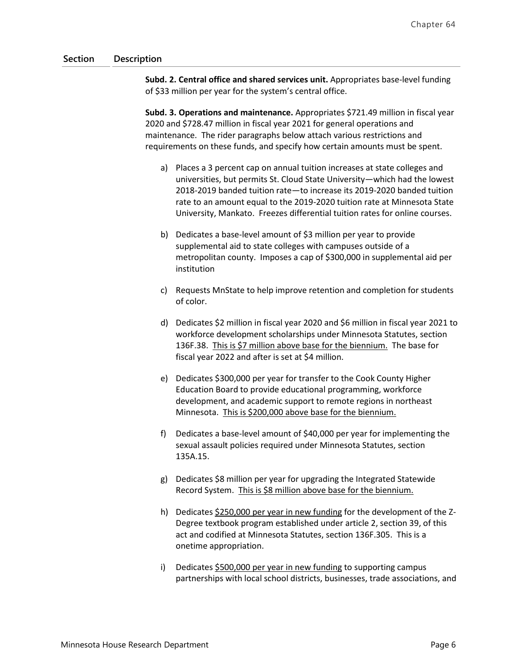**Subd. 2. Central office and shared services unit.** Appropriates base-level funding of \$33 million per year for the system's central office.

**Subd. 3. Operations and maintenance.** Appropriates \$721.49 million in fiscal year 2020 and \$728.47 million in fiscal year 2021 for general operations and maintenance. The rider paragraphs below attach various restrictions and requirements on these funds, and specify how certain amounts must be spent.

- a) Places a 3 percent cap on annual tuition increases at state colleges and universities, but permits St. Cloud State University—which had the lowest 2018-2019 banded tuition rate—to increase its 2019-2020 banded tuition rate to an amount equal to the 2019-2020 tuition rate at Minnesota State University, Mankato. Freezes differential tuition rates for online courses.
- b) Dedicates a base-level amount of \$3 million per year to provide supplemental aid to state colleges with campuses outside of a metropolitan county. Imposes a cap of \$300,000 in supplemental aid per institution
- c) Requests MnState to help improve retention and completion for students of color.
- d) Dedicates \$2 million in fiscal year 2020 and \$6 million in fiscal year 2021 to workforce development scholarships under Minnesota Statutes, section 136F.38. This is \$7 million above base for the biennium. The base for fiscal year 2022 and after is set at \$4 million.
- e) Dedicates \$300,000 per year for transfer to the Cook County Higher Education Board to provide educational programming, workforce development, and academic support to remote regions in northeast Minnesota. This is \$200,000 above base for the biennium.
- f) Dedicates a base-level amount of \$40,000 per year for implementing the sexual assault policies required under Minnesota Statutes, section 135A.15.
- g) Dedicates \$8 million per year for upgrading the Integrated Statewide Record System. This is \$8 million above base for the biennium.
- h) Dedicates \$250,000 per year in new funding for the development of the Z-Degree textbook program established under article 2, section 39, of this act and codified at Minnesota Statutes, section 136F.305. This is a onetime appropriation.
- i) Dedicates \$500,000 per year in new funding to supporting campus partnerships with local school districts, businesses, trade associations, and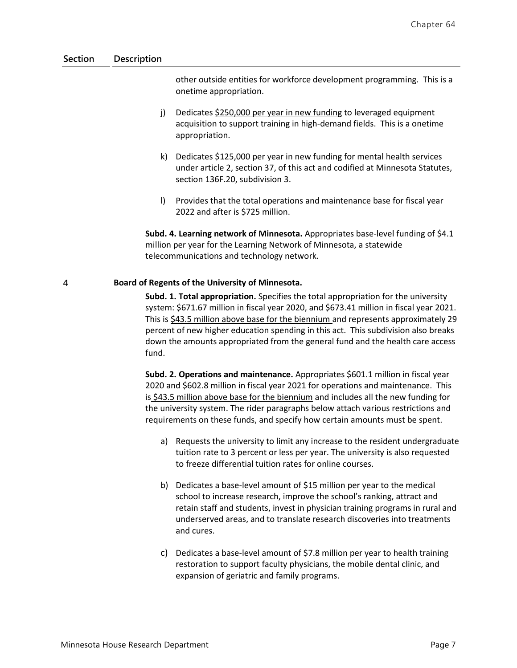other outside entities for workforce development programming. This is a onetime appropriation.

- j) Dedicates \$250,000 per year in new funding to leveraged equipment acquisition to support training in high-demand fields. This is a onetime appropriation.
- k) Dedicates \$125,000 per year in new funding for mental health services under article 2, section 37, of this act and codified at Minnesota Statutes, section 136F.20, subdivision 3.
- l) Provides that the total operations and maintenance base for fiscal year 2022 and after is \$725 million.

**Subd. 4. Learning network of Minnesota.** Appropriates base-level funding of \$4.1 million per year for the Learning Network of Minnesota, a statewide telecommunications and technology network.

#### $\overline{4}$ **Board of Regents of the University of Minnesota.**

**Subd. 1. Total appropriation.** Specifies the total appropriation for the university system: \$671.67 million in fiscal year 2020, and \$673.41 million in fiscal year 2021. This is \$43.5 million above base for the biennium and represents approximately 29 percent of new higher education spending in this act. This subdivision also breaks down the amounts appropriated from the general fund and the health care access fund.

**Subd. 2. Operations and maintenance.** Appropriates \$601.1 million in fiscal year 2020 and \$602.8 million in fiscal year 2021 for operations and maintenance. This is \$43.5 million above base for the biennium and includes all the new funding for the university system. The rider paragraphs below attach various restrictions and requirements on these funds, and specify how certain amounts must be spent.

- a) Requests the university to limit any increase to the resident undergraduate tuition rate to 3 percent or less per year. The university is also requested to freeze differential tuition rates for online courses.
- b) Dedicates a base-level amount of \$15 million per year to the medical school to increase research, improve the school's ranking, attract and retain staff and students, invest in physician training programs in rural and underserved areas, and to translate research discoveries into treatments and cures.
- c) Dedicates a base-level amount of \$7.8 million per year to health training restoration to support faculty physicians, the mobile dental clinic, and expansion of geriatric and family programs.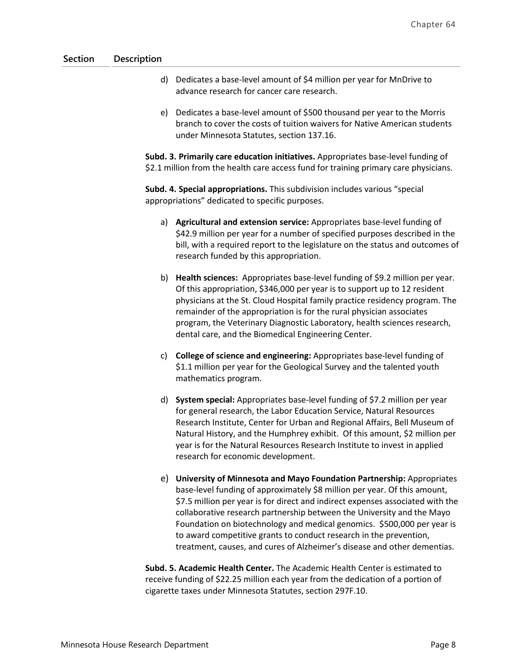- d) Dedicates a base-level amount of \$4 million per year for MnDrive to advance research for cancer care research.
- e) Dedicates a base-level amount of \$500 thousand per year to the Morris branch to cover the costs of tuition waivers for Native American students under Minnesota Statutes, section 137.16.

**Subd. 3. Primarily care education initiatives.** Appropriates base-level funding of \$2.1 million from the health care access fund for training primary care physicians.

**Subd. 4. Special appropriations.** This subdivision includes various "special appropriations" dedicated to specific purposes.

- a) **Agricultural and extension service:** Appropriates base-level funding of \$42.9 million per year for a number of specified purposes described in the bill, with a required report to the legislature on the status and outcomes of research funded by this appropriation.
- b) **Health sciences:** Appropriates base-level funding of \$9.2 million per year. Of this appropriation, \$346,000 per year is to support up to 12 resident physicians at the St. Cloud Hospital family practice residency program. The remainder of the appropriation is for the rural physician associates program, the Veterinary Diagnostic Laboratory, health sciences research, dental care, and the Biomedical Engineering Center.
- c) **College of science and engineering:** Appropriates base-level funding of \$1.1 million per year for the Geological Survey and the talented youth mathematics program.
- d) **System special:** Appropriates base-level funding of \$7.2 million per year for general research, the Labor Education Service, Natural Resources Research Institute, Center for Urban and Regional Affairs, Bell Museum of Natural History, and the Humphrey exhibit. Of this amount, \$2 million per year is for the Natural Resources Research Institute to invest in applied research for economic development.
- e) **University of Minnesota and Mayo Foundation Partnership:** Appropriates base-level funding of approximately \$8 million per year. Of this amount, \$7.5 million per year is for direct and indirect expenses associated with the collaborative research partnership between the University and the Mayo Foundation on biotechnology and medical genomics. \$500,000 per year is to award competitive grants to conduct research in the prevention, treatment, causes, and cures of Alzheimer's disease and other dementias.

**Subd. 5. Academic Health Center.** The Academic Health Center is estimated to receive funding of \$22.25 million each year from the dedication of a portion of cigarette taxes under Minnesota Statutes, section 297F.10.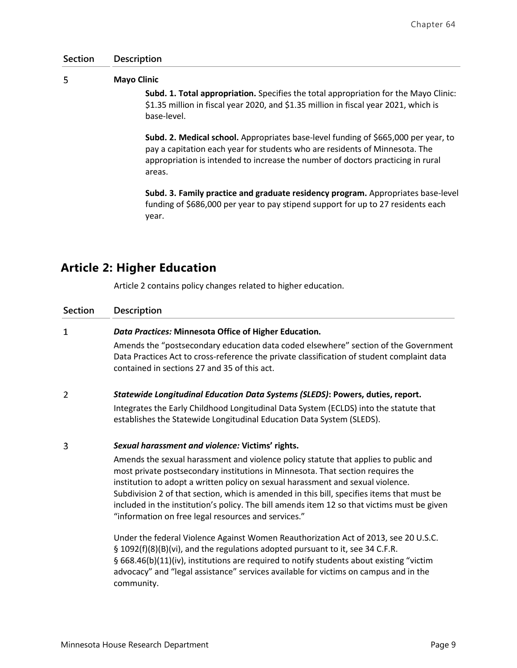#### 5 **Mayo Clinic**

**Subd. 1. Total appropriation.** Specifies the total appropriation for the Mayo Clinic: \$1.35 million in fiscal year 2020, and \$1.35 million in fiscal year 2021, which is base-level.

**Subd. 2. Medical school.** Appropriates base-level funding of \$665,000 per year, to pay a capitation each year for students who are residents of Minnesota. The appropriation is intended to increase the number of doctors practicing in rural areas.

**Subd. 3. Family practice and graduate residency program.** Appropriates base-level funding of \$686,000 per year to pay stipend support for up to 27 residents each year.

# **Article 2: Higher Education**

Article 2 contains policy changes related to higher education.

| <b>Section</b> | Description                                                                                                                                                                                                                                                                                                                                                                                                                                                                                                   |
|----------------|---------------------------------------------------------------------------------------------------------------------------------------------------------------------------------------------------------------------------------------------------------------------------------------------------------------------------------------------------------------------------------------------------------------------------------------------------------------------------------------------------------------|
| 1              | Data Practices: Minnesota Office of Higher Education.                                                                                                                                                                                                                                                                                                                                                                                                                                                         |
|                | Amends the "postsecondary education data coded elsewhere" section of the Government<br>Data Practices Act to cross-reference the private classification of student complaint data<br>contained in sections 27 and 35 of this act.                                                                                                                                                                                                                                                                             |
| $\overline{2}$ | Statewide Longitudinal Education Data Systems (SLEDS): Powers, duties, report.                                                                                                                                                                                                                                                                                                                                                                                                                                |
|                | Integrates the Early Childhood Longitudinal Data System (ECLDS) into the statute that<br>establishes the Statewide Longitudinal Education Data System (SLEDS).                                                                                                                                                                                                                                                                                                                                                |
| 3              | Sexual harassment and violence: Victims' rights.                                                                                                                                                                                                                                                                                                                                                                                                                                                              |
|                | Amends the sexual harassment and violence policy statute that applies to public and<br>most private postsecondary institutions in Minnesota. That section requires the<br>institution to adopt a written policy on sexual harassment and sexual violence.<br>Subdivision 2 of that section, which is amended in this bill, specifies items that must be<br>included in the institution's policy. The bill amends item 12 so that victims must be given<br>"information on free legal resources and services." |
|                | Under the federal Violence Against Women Reauthorization Act of 2013, see 20 U.S.C.<br>§ 1092(f)(8)(B)(vi), and the regulations adopted pursuant to it, see 34 C.F.R.<br>§ 668.46(b)(11)(iv), institutions are required to notify students about existing "victim<br>advocacy" and "legal assistance" services available for victims on campus and in the<br>community.                                                                                                                                       |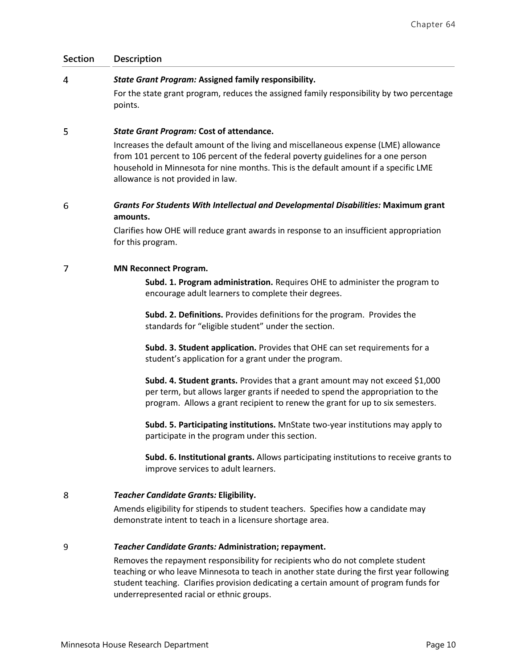#### $\overline{4}$ *State Grant Program:* **Assigned family responsibility.**

For the state grant program, reduces the assigned family responsibility by two percentage points.

#### 5 *State Grant Program:* **Cost of attendance.**

Increases the default amount of the living and miscellaneous expense (LME) allowance from 101 percent to 106 percent of the federal poverty guidelines for a one person household in Minnesota for nine months. This is the default amount if a specific LME allowance is not provided in law.

### 6 *Grants For Students With Intellectual and Developmental Disabilities:* **Maximum grant amounts.**

Clarifies how OHE will reduce grant awards in response to an insufficient appropriation for this program.

#### 7 **MN Reconnect Program.**

**Subd. 1. Program administration.** Requires OHE to administer the program to encourage adult learners to complete their degrees.

**Subd. 2. Definitions.** Provides definitions for the program. Provides the standards for "eligible student" under the section.

**Subd. 3. Student application.** Provides that OHE can set requirements for a student's application for a grant under the program.

**Subd. 4. Student grants.** Provides that a grant amount may not exceed \$1,000 per term, but allows larger grants if needed to spend the appropriation to the program. Allows a grant recipient to renew the grant for up to six semesters.

**Subd. 5. Participating institutions.** MnState two-year institutions may apply to participate in the program under this section.

**Subd. 6. Institutional grants.** Allows participating institutions to receive grants to improve services to adult learners.

#### 8 *Teacher Candidate Grant***s***:* **Eligibility.**

Amends eligibility for stipends to student teachers. Specifies how a candidate may demonstrate intent to teach in a licensure shortage area.

#### 9 *Teacher Candidate Grant***s***:* **Administration; repayment.**

Removes the repayment responsibility for recipients who do not complete student teaching or who leave Minnesota to teach in another state during the first year following student teaching. Clarifies provision dedicating a certain amount of program funds for underrepresented racial or ethnic groups.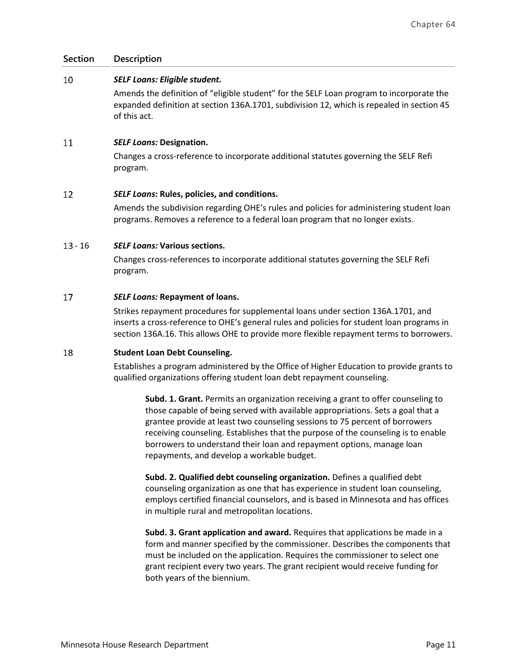#### 10 *SELF Loans: Eligible student.*

Amends the definition of "eligible student" for the SELF Loan program to incorporate the expanded definition at section 136A.1701, subdivision 12, which is repealed in section 45 of this act.

#### 11 *SELF Loans:* **Designation.**

Changes a cross-reference to incorporate additional statutes governing the SELF Refi program.

#### $12$ *SELF Loans***: Rules, policies, and conditions.**

Amends the subdivision regarding OHE's rules and policies for administering student loan programs. Removes a reference to a federal loan program that no longer exists.

## - 16 *SELF Loans:* **Various sections.**

Changes cross-references to incorporate additional statutes governing the SELF Refi program.

#### 17 *SELF Loans:* **Repayment of loans.**

Strikes repayment procedures for supplemental loans under section 136A.1701, and inserts a cross-reference to OHE's general rules and policies for student loan programs in section 136A.16. This allows OHE to provide more flexible repayment terms to borrowers.

#### 18 **Student Loan Debt Counseling.**

Establishes a program administered by the Office of Higher Education to provide grants to qualified organizations offering student loan debt repayment counseling.

**Subd. 1. Grant.** Permits an organization receiving a grant to offer counseling to those capable of being served with available appropriations. Sets a goal that a grantee provide at least two counseling sessions to 75 percent of borrowers receiving counseling. Establishes that the purpose of the counseling is to enable borrowers to understand their loan and repayment options, manage loan repayments, and develop a workable budget.

**Subd. 2. Qualified debt counseling organization.** Defines a qualified debt counseling organization as one that has experience in student loan counseling, employs certified financial counselors, and is based in Minnesota and has offices in multiple rural and metropolitan locations.

**Subd. 3. Grant application and award.** Requires that applications be made in a form and manner specified by the commissioner. Describes the components that must be included on the application. Requires the commissioner to select one grant recipient every two years. The grant recipient would receive funding for both years of the biennium.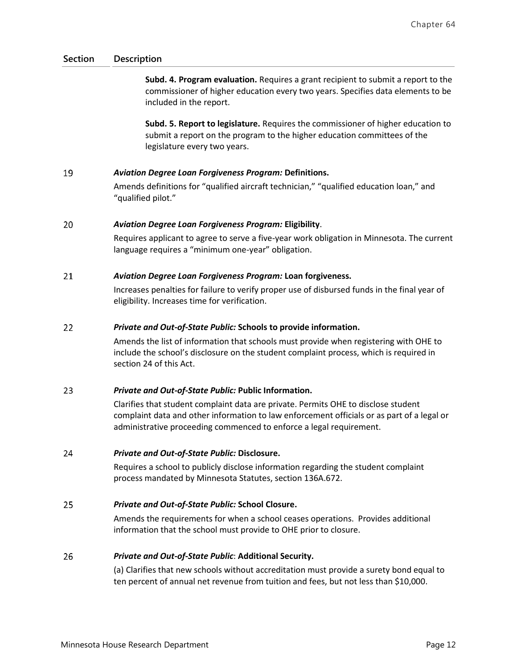**Subd. 4. Program evaluation.** Requires a grant recipient to submit a report to the commissioner of higher education every two years. Specifies data elements to be included in the report.

**Subd. 5. Report to legislature.** Requires the commissioner of higher education to submit a report on the program to the higher education committees of the legislature every two years.

#### 19 *Aviation Degree Loan Forgiveness Program:* **Definitions.**

Amends definitions for "qualified aircraft technician," "qualified education loan," and "qualified pilot."

#### 20 *Aviation Degree Loan Forgiveness Program:* **Eligibility**.

Requires applicant to agree to serve a five-year work obligation in Minnesota. The current language requires a "minimum one-year" obligation.

#### 21 *Aviation Degree Loan Forgiveness Program:* **Loan forgiveness.**

Increases penalties for failure to verify proper use of disbursed funds in the final year of eligibility. Increases time for verification.

#### 22 *Private and Out-of-State Public:* **Schools to provide information.**

Amends the list of information that schools must provide when registering with OHE to include the school's disclosure on the student complaint process, which is required in section 24 of this Act.

#### 23 *Private and Out-of-State Public:* **Public Information.**

Clarifies that student complaint data are private. Permits OHE to disclose student complaint data and other information to law enforcement officials or as part of a legal or administrative proceeding commenced to enforce a legal requirement.

#### 24 *Private and Out-of-State Public:* **Disclosure.**

Requires a school to publicly disclose information regarding the student complaint process mandated by Minnesota Statutes, section 136A.672.

#### 25 *Private and Out-of-State Public:* **School Closure.**

Amends the requirements for when a school ceases operations. Provides additional information that the school must provide to OHE prior to closure.

#### 26 *Private and Out-of-State Public*: **Additional Security.**

(a) Clarifies that new schools without accreditation must provide a surety bond equal to ten percent of annual net revenue from tuition and fees, but not less than \$10,000.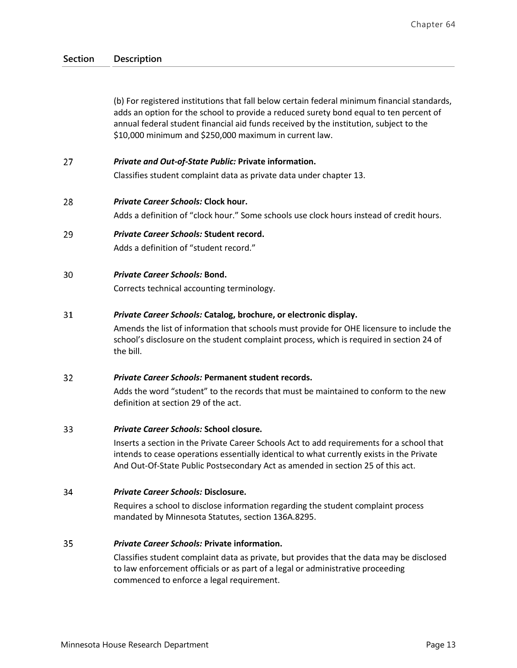(b) For registered institutions that fall below certain federal minimum financial standards, adds an option for the school to provide a reduced surety bond equal to ten percent of annual federal student financial aid funds received by the institution, subject to the \$10,000 minimum and \$250,000 maximum in current law.

#### 27 *Private and Out-of-State Public:* **Private information.**

Classifies student complaint data as private data under chapter 13.

#### 28 *Private Career Schools:* **Clock hour.**

Adds a definition of "clock hour." Some schools use clock hours instead of credit hours.

29 *Private Career Schools:* **Student record.**  Adds a definition of "student record."

#### 30 *Private Career Schools:* **Bond.**

Corrects technical accounting terminology.

#### 31 *Private Career Schools:* **Catalog, brochure, or electronic display.**

Amends the list of information that schools must provide for OHE licensure to include the school's disclosure on the student complaint process, which is required in section 24 of the bill.

#### $32<sup>2</sup>$ *Private Career Schools:* **Permanent student records.**

Adds the word "student" to the records that must be maintained to conform to the new definition at section 29 of the act.

#### 33 *Private Career Schools:* **School closure.**

Inserts a section in the Private Career Schools Act to add requirements for a school that intends to cease operations essentially identical to what currently exists in the Private And Out-Of-State Public Postsecondary Act as amended in section 25 of this act.

#### *Private Career Schools:* **Disclosure.**  34

Requires a school to disclose information regarding the student complaint process mandated by Minnesota Statutes, section 136A.8295.

#### 35 *Private Career Schools:* **Private information.**

Classifies student complaint data as private, but provides that the data may be disclosed to law enforcement officials or as part of a legal or administrative proceeding commenced to enforce a legal requirement.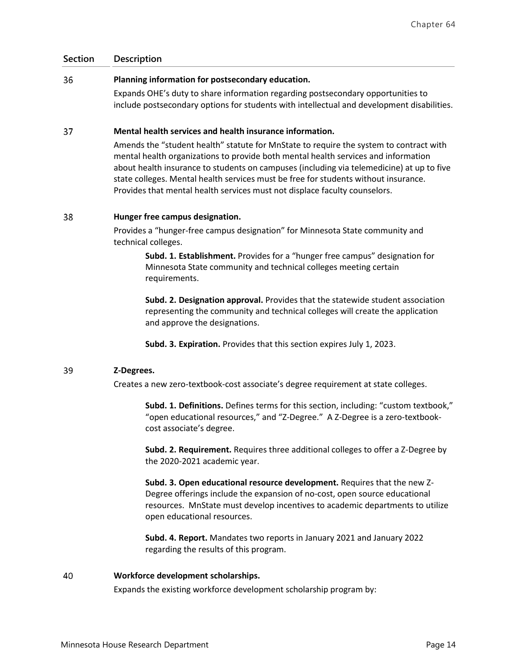#### 36 **Planning information for postsecondary education.**

Expands OHE's duty to share information regarding postsecondary opportunities to include postsecondary options for students with intellectual and development disabilities.

#### 37 **Mental health services and health insurance information.**

Amends the "student health" statute for MnState to require the system to contract with mental health organizations to provide both mental health services and information about health insurance to students on campuses (including via telemedicine) at up to five state colleges. Mental health services must be free for students without insurance. Provides that mental health services must not displace faculty counselors.

#### 38 **Hunger free campus designation.**

Provides a "hunger-free campus designation" for Minnesota State community and technical colleges.

**Subd. 1. Establishment.** Provides for a "hunger free campus" designation for Minnesota State community and technical colleges meeting certain requirements.

**Subd. 2. Designation approval.** Provides that the statewide student association representing the community and technical colleges will create the application and approve the designations.

**Subd. 3. Expiration.** Provides that this section expires July 1, 2023.

#### 39 **Z-Degrees.**

Creates a new zero-textbook-cost associate's degree requirement at state colleges.

**Subd. 1. Definitions.** Defines terms for this section, including: "custom textbook," "open educational resources," and "Z-Degree." A Z-Degree is a zero-textbookcost associate's degree.

**Subd. 2. Requirement.** Requires three additional colleges to offer a Z-Degree by the 2020-2021 academic year.

**Subd. 3. Open educational resource development.** Requires that the new Z-Degree offerings include the expansion of no-cost, open source educational resources. MnState must develop incentives to academic departments to utilize open educational resources.

**Subd. 4. Report.** Mandates two reports in January 2021 and January 2022 regarding the results of this program.

#### 40 **Workforce development scholarships.**

Expands the existing workforce development scholarship program by: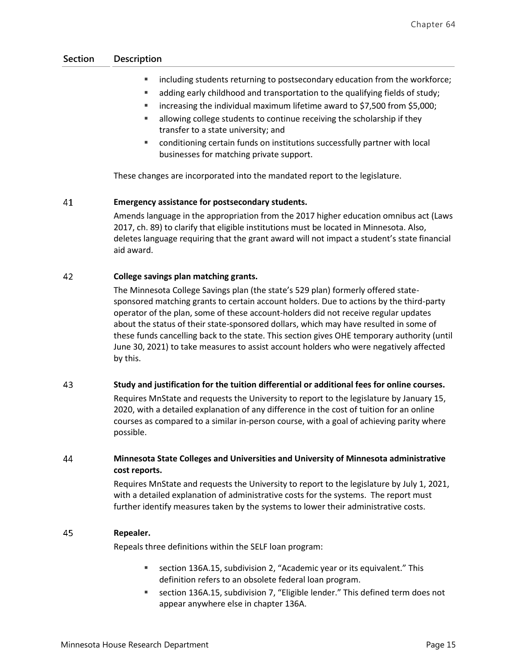- **IX** including students returning to postsecondary education from the workforce;
- adding early childhood and transportation to the qualifying fields of study;
- increasing the individual maximum lifetime award to \$7,500 from \$5,000;
- **EXEC** allowing college students to continue receiving the scholarship if they transfer to a state university; and
- conditioning certain funds on institutions successfully partner with local businesses for matching private support.

These changes are incorporated into the mandated report to the legislature.

#### 41 **Emergency assistance for postsecondary students.**

Amends language in the appropriation from the 2017 higher education omnibus act (Laws 2017, ch. 89) to clarify that eligible institutions must be located in Minnesota. Also, deletes language requiring that the grant award will not impact a student's state financial aid award.

#### 42 **College savings plan matching grants.**

The Minnesota College Savings plan (the state's 529 plan) formerly offered statesponsored matching grants to certain account holders. Due to actions by the third-party operator of the plan, some of these account-holders did not receive regular updates about the status of their state-sponsored dollars, which may have resulted in some of these funds cancelling back to the state. This section gives OHE temporary authority (until June 30, 2021) to take measures to assist account holders who were negatively affected by this.

#### 43 **Study and justification for the tuition differential or additional fees for online courses.**

Requires MnState and requests the University to report to the legislature by January 15, 2020, with a detailed explanation of any difference in the cost of tuition for an online courses as compared to a similar in-person course, with a goal of achieving parity where possible.

### 44 **Minnesota State Colleges and Universities and University of Minnesota administrative cost reports.**

Requires MnState and requests the University to report to the legislature by July 1, 2021, with a detailed explanation of administrative costs for the systems. The report must further identify measures taken by the systems to lower their administrative costs.

#### 45 **Repealer.**

Repeals three definitions within the SELF loan program:

- section 136A.15, subdivision 2, "Academic year or its equivalent." This definition refers to an obsolete federal loan program.
- section 136A.15, subdivision 7, "Eligible lender." This defined term does not appear anywhere else in chapter 136A.